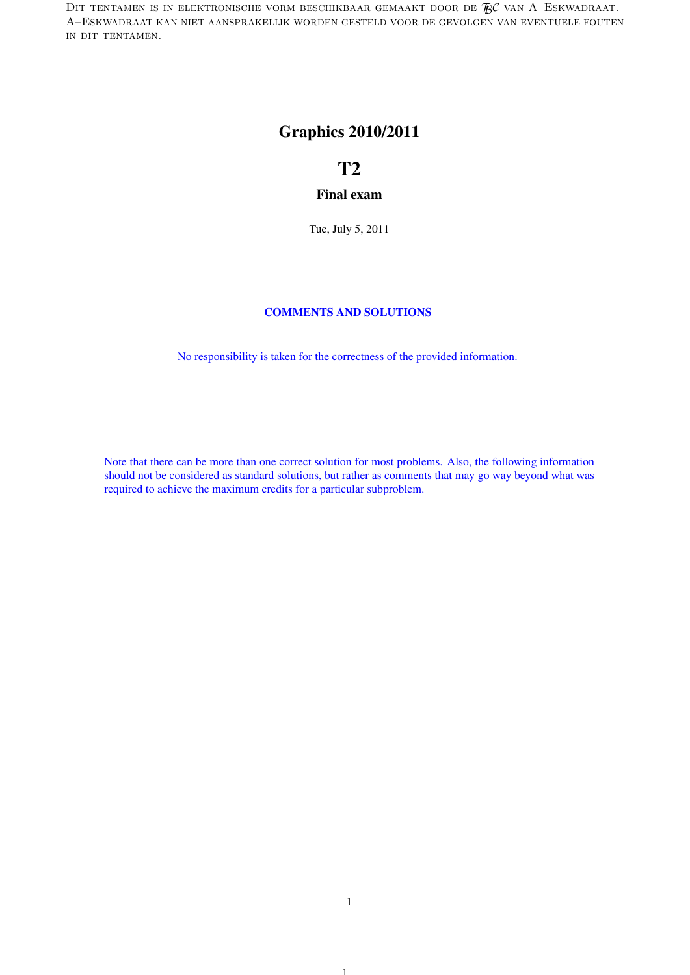DIT TENTAMEN IS IN ELEKTRONISCHE VORM BESCHIKBAAR GEMAAKT DOOR DE  $\mathcal{R}$ C van A–Eskwadraat. A–Eskwadraat kan niet aansprakelijk worden gesteld voor de gevolgen van eventuele fouten in dit tentamen.

# Graphics 2010/2011

# T2

#### Final exam

Tue, July 5, 2011

#### COMMENTS AND SOLUTIONS

No responsibility is taken for the correctness of the provided information.

Note that there can be more than one correct solution for most problems. Also, the following information should not be considered as standard solutions, but rather as comments that may go way beyond what was required to achieve the maximum credits for a particular subproblem.

1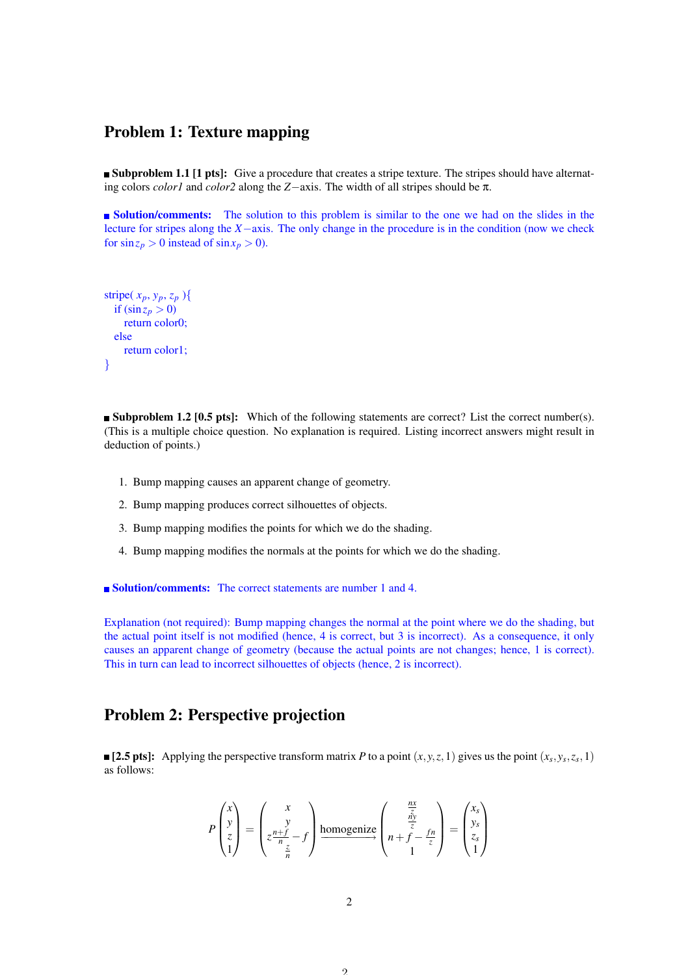#### Problem 1: Texture mapping

**Subproblem 1.1 [1 pts]:** Give a procedure that creates a stripe texture. The stripes should have alternating colors *color1* and *color2* along the *Z*−axis. The width of all stripes should be π.

**Solution/comments:** The solution to this problem is similar to the one we had on the slides in the lecture for stripes along the *X*−axis. The only change in the procedure is in the condition (now we check for  $\sin z_p > 0$  instead of  $\sin x_p > 0$ ).

```
stripe(x_p, y_p, z_p){
  if (\sin z_p > 0)return color0;
  else
    return color1;
}
```
**Subproblem 1.2 [0.5 pts]:** Which of the following statements are correct? List the correct number(s). (This is a multiple choice question. No explanation is required. Listing incorrect answers might result in deduction of points.)

- 1. Bump mapping causes an apparent change of geometry.
- 2. Bump mapping produces correct silhouettes of objects.
- 3. Bump mapping modifies the points for which we do the shading.
- 4. Bump mapping modifies the normals at the points for which we do the shading.

■ Solution/comments: The correct statements are number 1 and 4.

Explanation (not required): Bump mapping changes the normal at the point where we do the shading, but the actual point itself is not modified (hence, 4 is correct, but 3 is incorrect). As a consequence, it only causes an apparent change of geometry (because the actual points are not changes; hence, 1 is correct). This in turn can lead to incorrect silhouettes of objects (hence, 2 is incorrect).

# Problem 2: Perspective projection

[2.5 pts]: Applying the perspective transform matrix *P* to a point  $(x, y, z, 1)$  gives us the point  $(x_s, y_s, z_s, 1)$ as follows:

$$
P\begin{pmatrix} x \\ y \\ z \\ 1 \end{pmatrix} = \begin{pmatrix} x \\ y \\ z^{\frac{n+f}{n}} - f \\ \frac{z}{n} \end{pmatrix} \underset{n}{\text{homogenic}} \begin{pmatrix} \frac{n\bar{x}}{\frac{\bar{x}}{2}} \\ n + \frac{f}{2} - \frac{fn}{z} \\ 1 \end{pmatrix} = \begin{pmatrix} x_s \\ y_s \\ z_s \\ 1 \end{pmatrix}
$$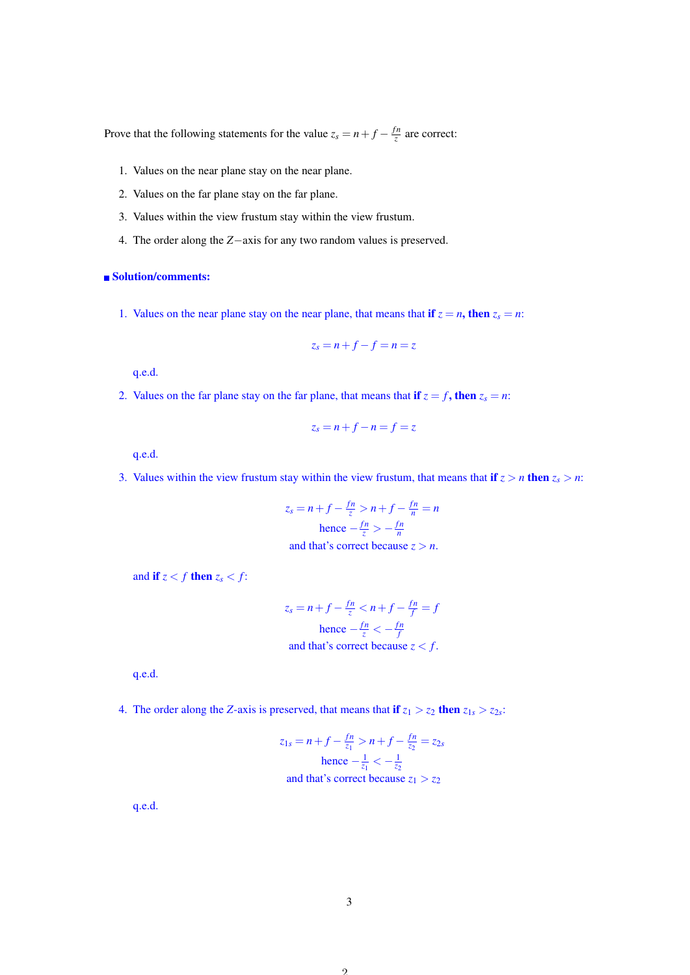Prove that the following statements for the value  $z_s = n + f - \frac{fn}{z}$  $\frac{7}{z}$  are correct:

- 1. Values on the near plane stay on the near plane.
- 2. Values on the far plane stay on the far plane.
- 3. Values within the view frustum stay within the view frustum.
- 4. The order along the *Z*−axis for any two random values is preserved.

#### ■ Solution/comments:

1. Values on the near plane stay on the near plane, that means that if  $z = n$ , then  $z_s = n$ :

$$
z_s=n+f-f=n=z
$$

q.e.d.

2. Values on the far plane stay on the far plane, that means that if  $z = f$ , then  $z_s = n$ :

$$
z_s=n+f-n=f=z
$$

q.e.d.

3. Values within the view frustum stay within the view frustum, that means that if  $z > n$  then  $z_s > n$ :

$$
z_s = n + f - \frac{fn}{z} > n + f - \frac{fn}{n} = n
$$
  
hence  $-\frac{fn}{z} > -\frac{fn}{n}$   
and that's correct because  $z > n$ .

and if  $z < f$  then  $z_s < f$ :

$$
z_s = n + f - \frac{fn}{z} < n + f - \frac{fn}{f} = f
$$
\nhence  $-\frac{fn}{z} < -\frac{fn}{f}$ 

\nand that's correct because  $z < f$ .

q.e.d.

4. The order along the *Z*-axis is preserved, that means that if  $z_1 > z_2$  then  $z_{1s} > z_{2s}$ :

$$
z_{1s} = n + f - \frac{fn}{z_1} > n + f - \frac{fn}{z_2} = z_{2s}
$$
\nhence

\n
$$
-\frac{1}{z_1} < -\frac{1}{z_2}
$$
\nand that's correct because

\n
$$
z_1 > z_2
$$

q.e.d.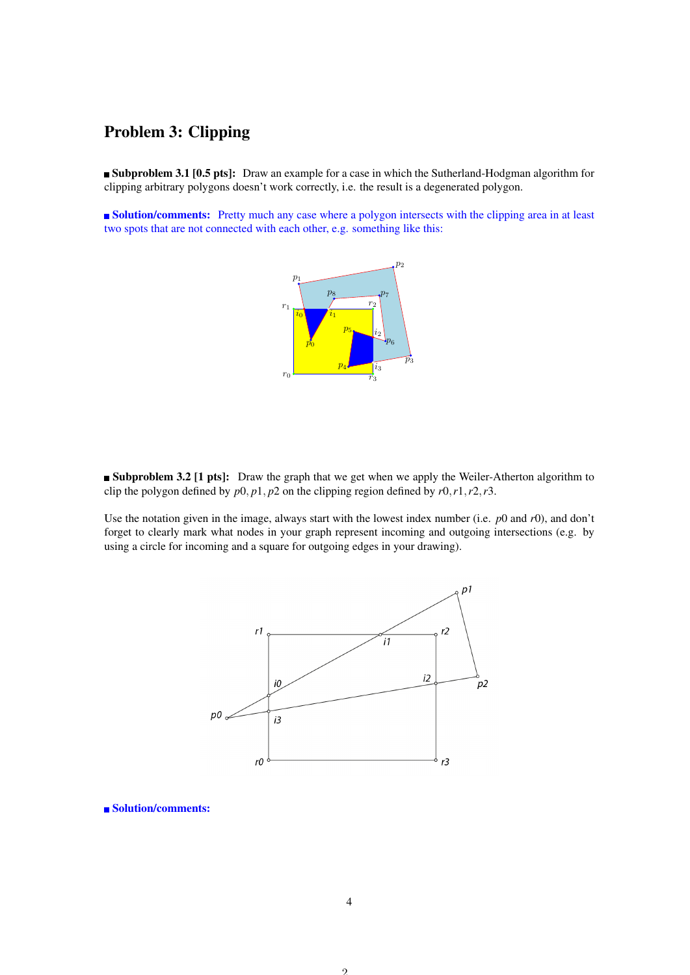# Problem 3: Clipping

**Subproblem 3.1 [0.5 pts]:** Draw an example for a case in which the Sutherland-Hodgman algorithm for clipping arbitrary polygons doesn't work correctly, i.e. the result is a degenerated polygon.

**Solution/comments:** Pretty much any case where a polygon intersects with the clipping area in at least two spots that are not connected with each other, e.g. something like this:



**Subproblem 3.2 [1 pts]:** Draw the graph that we get when we apply the Weiler-Atherton algorithm to clip the polygon defined by  $p0$ ,  $p1$ ,  $p2$  on the clipping region defined by  $r0$ ,  $r1$ ,  $r2$ ,  $r3$ .

Use the notation given in the image, always start with the lowest index number (i.e. *p*0 and *r*0), and don't forget to clearly mark what nodes in your graph represent incoming and outgoing intersections (e.g. by using a circle for incoming and a square for outgoing edges in your drawing).



■ Solution/comments:

 $\mathcal{L}$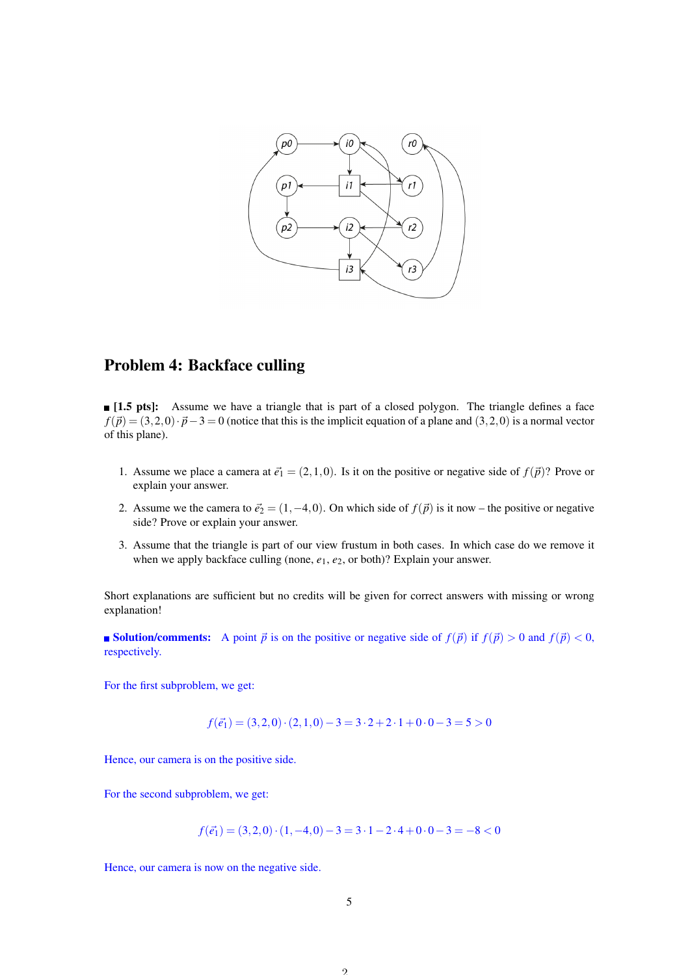

# Problem 4: Backface culling

**I.5 pts**: Assume we have a triangle that is part of a closed polygon. The triangle defines a face  $f(\vec{p}) = (3,2,0)\cdot\vec{p}-3 = 0$  (notice that this is the implicit equation of a plane and  $(3,2,0)$  is a normal vector of this plane).

- 1. Assume we place a camera at  $\vec{e}_1 = (2,1,0)$ . Is it on the positive or negative side of  $f(\vec{p})$ ? Prove or explain your answer.
- 2. Assume we the camera to  $\vec{e}_2 = (1, -4, 0)$ . On which side of  $f(\vec{p})$  is it now the positive or negative side? Prove or explain your answer.
- 3. Assume that the triangle is part of our view frustum in both cases. In which case do we remove it when we apply backface culling (none,  $e_1$ ,  $e_2$ , or both)? Explain your answer.

Short explanations are sufficient but no credits will be given for correct answers with missing or wrong explanation!

**solution/comments:** A point  $\vec{p}$  is on the positive or negative side of  $f(\vec{p})$  if  $f(\vec{p}) > 0$  and  $f(\vec{p}) < 0$ , respectively.

For the first subproblem, we get:

 $f(\vec{e}_1) = (3,2,0)\cdot(2,1,0) - 3 = 3\cdot2 + 2\cdot1 + 0\cdot0 - 3 = 5 > 0$ 

Hence, our camera is on the positive side.

For the second subproblem, we get:

$$
f(\vec{e_1}) = (3,2,0) \cdot (1,-4,0) - 3 = 3 \cdot 1 - 2 \cdot 4 + 0 \cdot 0 - 3 = -8 < 0
$$

Hence, our camera is now on the negative side.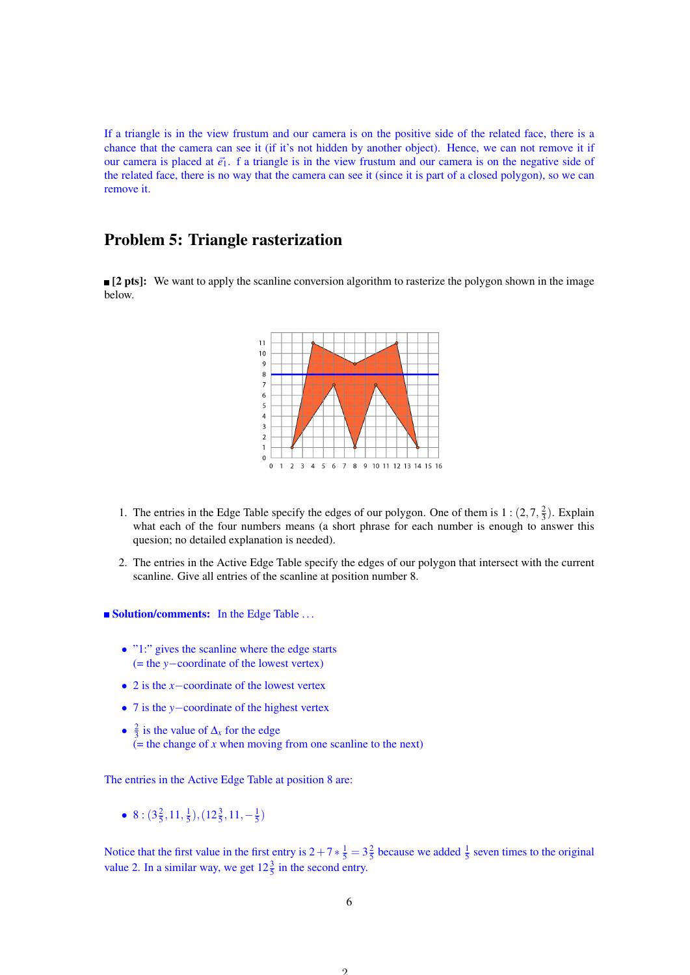If a triangle is in the view frustum and our camera is on the positive side of the related face, there is a chance that the camera can see it (if it's not hidden by another object). Hence, we can not remove it if our camera is placed at  $\vec{e}_1$ . f a triangle is in the view frustum and our camera is on the negative side of the related face, there is no way that the camera can see it (since it is part of a closed polygon), so we can remove it.

#### Problem 5: Triangle rasterization

**[2 pts]:** We want to apply the scanline conversion algorithm to rasterize the polygon shown in the image below.



- 1. The entries in the Edge Table specify the edges of our polygon. One of them is  $1:(2,7,\frac{2}{3})$ . Explain what each of the four numbers means (a short phrase for each number is enough to answer this quesion; no detailed explanation is needed).
- 2. The entries in the Active Edge Table specify the edges of our polygon that intersect with the current scanline. Give all entries of the scanline at position number 8.

**Solution/comments:** In the Edge Table ...

- "1:" gives the scanline where the edge starts (= the *y*−coordinate of the lowest vertex)
- 2 is the *x*−coordinate of the lowest vertex
- 7 is the *y*−coordinate of the highest vertex
- $\frac{2}{3}$  is the value of  $\Delta_x$  for the edge  $\mathbf{r}$  (= the change of *x* when moving from one scanline to the next)

The entries in the Active Edge Table at position 8 are:

• 8:  $(3\frac{2}{5}, 11, \frac{1}{5}), (12\frac{3}{5}, 11, -\frac{1}{5})$ 

Notice that the first value in the first entry is  $2+7*\frac{1}{5}=3\frac{2}{5}$  because we added  $\frac{1}{5}$  seven times to the original value 2. In a similar way, we get  $12\frac{3}{5}$  in the second entry.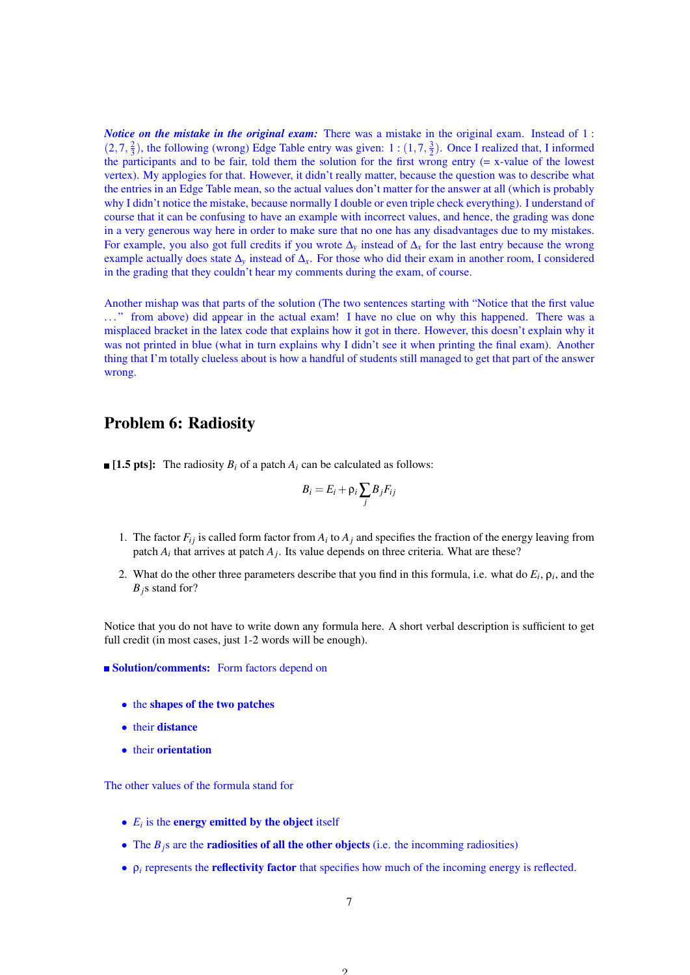*Notice on the mistake in the original exam:* There was a mistake in the original exam. Instead of 1:  $(2,7,\frac{2}{3})$ , the following (wrong) Edge Table entry was given: 1:  $(1,7,\frac{3}{2})$ . Once I realized that, I informed the participants and to be fair, told them the solution for the first wrong entry  $(= x-value)$  of the lowest vertex). My applogies for that. However, it didn't really matter, because the question was to describe what the entries in an Edge Table mean, so the actual values don't matter for the answer at all (which is probably why I didn't notice the mistake, because normally I double or even triple check everything). I understand of course that it can be confusing to have an example with incorrect values, and hence, the grading was done in a very generous way here in order to make sure that no one has any disadvantages due to my mistakes. For example, you also got full credits if you wrote ∆*<sup>y</sup>* instead of ∆*<sup>x</sup>* for the last entry because the wrong example actually does state ∆*<sup>y</sup>* instead of ∆*x*. For those who did their exam in another room, I considered in the grading that they couldn't hear my comments during the exam, of course.

Another mishap was that parts of the solution (The two sentences starting with "Notice that the first value . . . " from above) did appear in the actual exam! I have no clue on why this happened. There was a misplaced bracket in the latex code that explains how it got in there. However, this doesn't explain why it was not printed in blue (what in turn explains why I didn't see it when printing the final exam). Another thing that I'm totally clueless about is how a handful of students still managed to get that part of the answer wrong.

### Problem 6: Radiosity

 $\blacksquare$  [1.5 pts]: The radiosity  $B_i$  of a patch  $A_i$  can be calculated as follows:

$$
B_i = E_i + \rho_i \sum_j B_j F_{ij}
$$

- 1. The factor  $F_{ij}$  is called form factor from  $A_i$  to  $A_j$  and specifies the fraction of the energy leaving from patch  $A_i$  that arrives at patch  $A_j$ . Its value depends on three criteria. What are these?
- 2. What do the other three parameters describe that you find in this formula, i.e. what do  $E_i$ ,  $\rho_i$ , and the *Bj*s stand for?

Notice that you do not have to write down any formula here. A short verbal description is sufficient to get full credit (in most cases, just 1-2 words will be enough).

**Solution/comments:** Form factors depend on

- the shapes of the two patches
- their distance
- their orientation

The other values of the formula stand for

- $\bullet$   $E_i$  is the **energy emitted by the object** itself
- The  $B_i$ <sup>s</sup> are the **radiosities of all the other objects** (i.e. the incomming radiosities)
- $\rho_i$  represents the **reflectivity factor** that specifies how much of the incoming energy is reflected.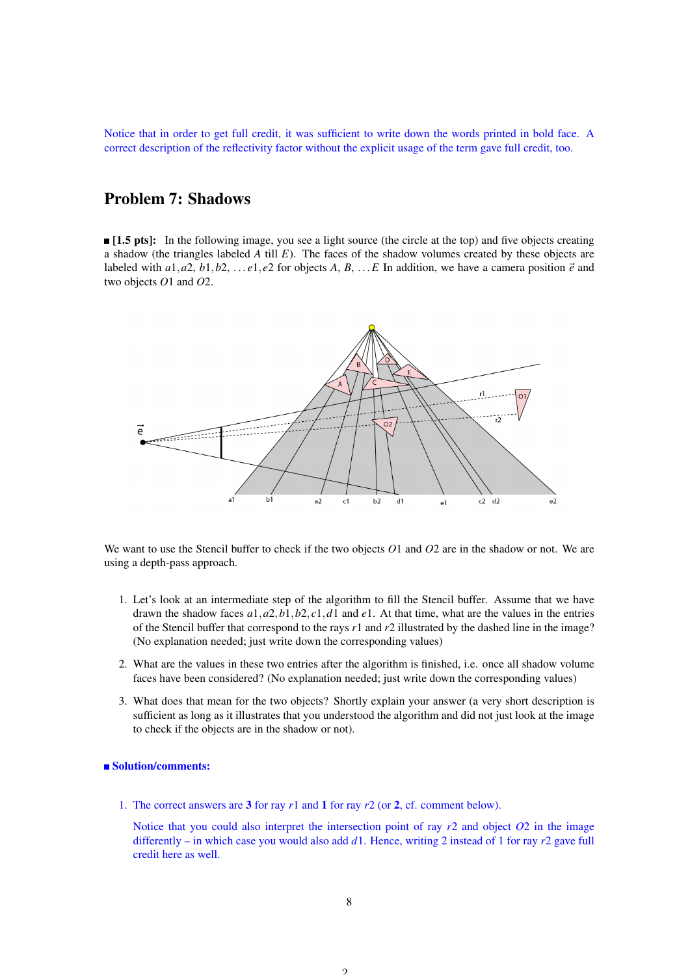Notice that in order to get full credit, it was sufficient to write down the words printed in bold face. A correct description of the reflectivity factor without the explicit usage of the term gave full credit, too.

## Problem 7: Shadows

**[1.5 pts]:** In the following image, you see a light source (the circle at the top) and five objects creating a shadow (the triangles labeled *A* till *E*). The faces of the shadow volumes created by these objects are labeled with  $a_1, a_2, b_1, b_2, \ldots e_1, e_2$  for objects A, B,  $\ldots E$  In addition, we have a camera position  $\vec{e}$  and two objects *O*1 and *O*2.



We want to use the Stencil buffer to check if the two objects *O*1 and *O*2 are in the shadow or not. We are using a depth-pass approach.

- 1. Let's look at an intermediate step of the algorithm to fill the Stencil buffer. Assume that we have drawn the shadow faces *a*1,*a*2,*b*1,*b*2, *c*1,*d*1 and *e*1. At that time, what are the values in the entries of the Stencil buffer that correspond to the rays *r*1 and *r*2 illustrated by the dashed line in the image? (No explanation needed; just write down the corresponding values)
- 2. What are the values in these two entries after the algorithm is finished, i.e. once all shadow volume faces have been considered? (No explanation needed; just write down the corresponding values)
- 3. What does that mean for the two objects? Shortly explain your answer (a very short description is sufficient as long as it illustrates that you understood the algorithm and did not just look at the image to check if the objects are in the shadow or not).

#### ■ Solution/comments:

1. The correct answers are 3 for ray *r*1 and 1 for ray *r*2 (or 2, cf. comment below).

Notice that you could also interpret the intersection point of ray *r*2 and object *O*2 in the image differently – in which case you would also add *d*1. Hence, writing 2 instead of 1 for ray *r*2 gave full credit here as well.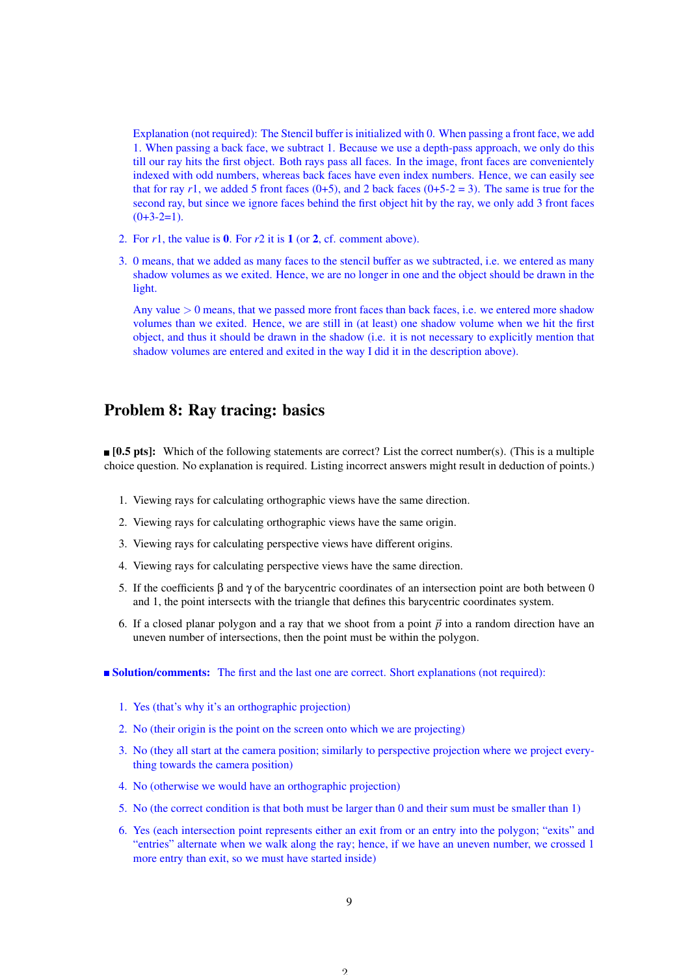Explanation (not required): The Stencil buffer is initialized with 0. When passing a front face, we add 1. When passing a back face, we subtract 1. Because we use a depth-pass approach, we only do this till our ray hits the first object. Both rays pass all faces. In the image, front faces are convenientely indexed with odd numbers, whereas back faces have even index numbers. Hence, we can easily see that for ray  $r1$ , we added 5 front faces (0+5), and 2 back faces (0+5-2 = 3). The same is true for the second ray, but since we ignore faces behind the first object hit by the ray, we only add 3 front faces  $(0+3-2=1)$ .

- 2. For *r*1, the value is 0. For *r*2 it is 1 (or 2, cf. comment above).
- 3. 0 means, that we added as many faces to the stencil buffer as we subtracted, i.e. we entered as many shadow volumes as we exited. Hence, we are no longer in one and the object should be drawn in the light.

Any value  $> 0$  means, that we passed more front faces than back faces, i.e. we entered more shadow volumes than we exited. Hence, we are still in (at least) one shadow volume when we hit the first object, and thus it should be drawn in the shadow (i.e. it is not necessary to explicitly mention that shadow volumes are entered and exited in the way I did it in the description above).

### Problem 8: Ray tracing: basics

**[0.5 pts]:** Which of the following statements are correct? List the correct number(s). (This is a multiple choice question. No explanation is required. Listing incorrect answers might result in deduction of points.)

- 1. Viewing rays for calculating orthographic views have the same direction.
- 2. Viewing rays for calculating orthographic views have the same origin.
- 3. Viewing rays for calculating perspective views have different origins.
- 4. Viewing rays for calculating perspective views have the same direction.
- 5. If the coefficients β and γ of the barycentric coordinates of an intersection point are both between 0 and 1, the point intersects with the triangle that defines this barycentric coordinates system.
- 6. If a closed planar polygon and a ray that we shoot from a point  $\vec{p}$  into a random direction have an uneven number of intersections, then the point must be within the polygon.

**Solution/comments:** The first and the last one are correct. Short explanations (not required):

- 1. Yes (that's why it's an orthographic projection)
- 2. No (their origin is the point on the screen onto which we are projecting)
- 3. No (they all start at the camera position; similarly to perspective projection where we project everything towards the camera position)
- 4. No (otherwise we would have an orthographic projection)
- 5. No (the correct condition is that both must be larger than 0 and their sum must be smaller than 1)
- 6. Yes (each intersection point represents either an exit from or an entry into the polygon; "exits" and "entries" alternate when we walk along the ray; hence, if we have an uneven number, we crossed 1 more entry than exit, so we must have started inside)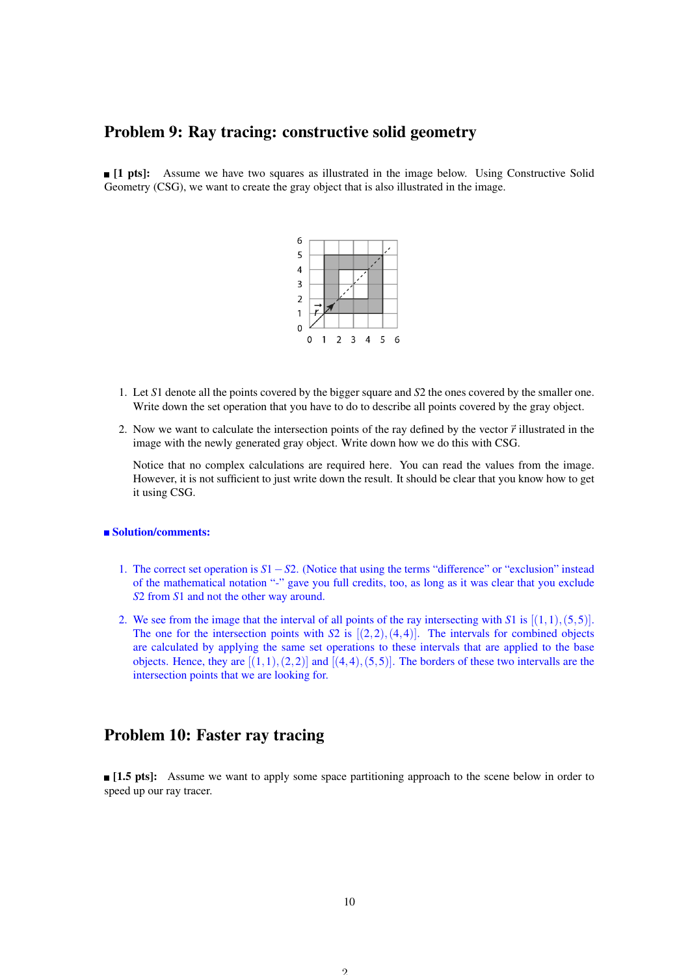### Problem 9: Ray tracing: constructive solid geometry

**[1 pts]:** Assume we have two squares as illustrated in the image below. Using Constructive Solid Geometry (CSG), we want to create the gray object that is also illustrated in the image.



- 1. Let *S*1 denote all the points covered by the bigger square and *S*2 the ones covered by the smaller one. Write down the set operation that you have to do to describe all points covered by the gray object.
- 2. Now we want to calculate the intersection points of the ray defined by the vector  $\vec{r}$  illustrated in the image with the newly generated gray object. Write down how we do this with CSG.

Notice that no complex calculations are required here. You can read the values from the image. However, it is not sufficient to just write down the result. It should be clear that you know how to get it using CSG.

#### ■ Solution/comments:

- 1. The correct set operation is *S*1−*S*2. (Notice that using the terms "difference" or "exclusion" instead of the mathematical notation "-" gave you full credits, too, as long as it was clear that you exclude *S*2 from *S*1 and not the other way around.
- 2. We see from the image that the interval of all points of the ray intersecting with  $S1$  is  $[(1,1),(5,5)]$ . The one for the intersection points with  $S2$  is  $[(2,2),(4,4)]$ . The intervals for combined objects are calculated by applying the same set operations to these intervals that are applied to the base objects. Hence, they are  $[(1,1),(2,2)]$  and  $[(4,4),(5,5)]$ . The borders of these two intervalls are the intersection points that we are looking for.

### Problem 10: Faster ray tracing

**[1.5 pts]:** Assume we want to apply some space partitioning approach to the scene below in order to speed up our ray tracer.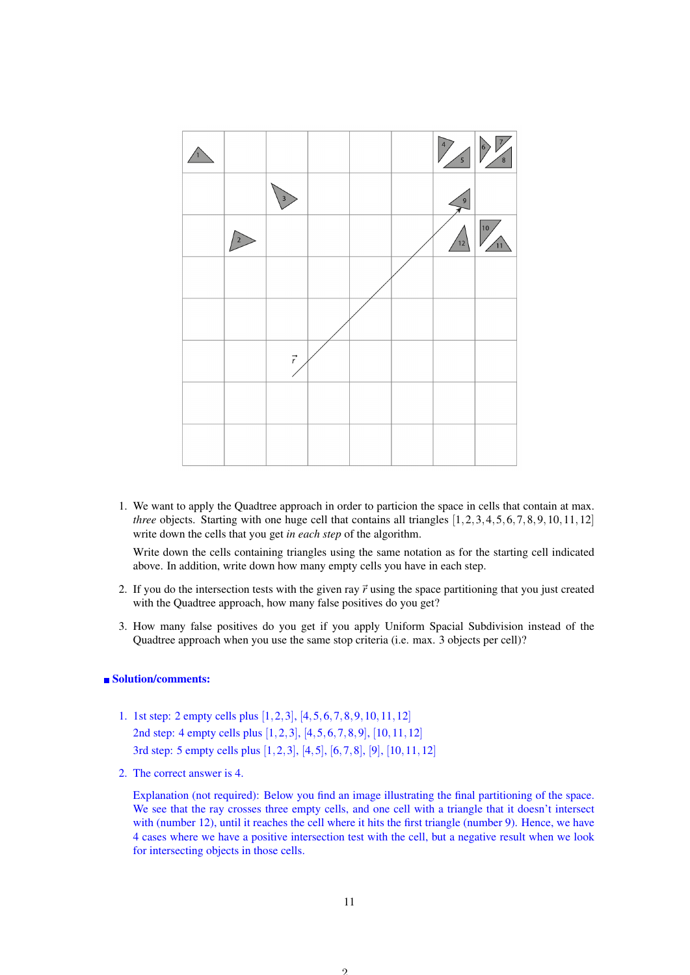

1. We want to apply the Quadtree approach in order to particion the space in cells that contain at max. *three* objects. Starting with one huge cell that contains all triangles  $[1,2,3,4,5,6,7,8,9,10,11,12]$ write down the cells that you get *in each step* of the algorithm.

Write down the cells containing triangles using the same notation as for the starting cell indicated above. In addition, write down how many empty cells you have in each step.

- 2. If you do the intersection tests with the given ray  $\vec{r}$  using the space partitioning that you just created with the Quadtree approach, how many false positives do you get?
- 3. How many false positives do you get if you apply Uniform Spacial Subdivision instead of the Quadtree approach when you use the same stop criteria (i.e. max. 3 objects per cell)?

#### ■ Solution/comments:

- 1. 1st step: 2 empty cells plus [1,2,3], [4,5,6,7,8,9,10,11,12] 2nd step: 4 empty cells plus [1,2,3], [4,5,6,7,8,9], [10,11,12] 3rd step: 5 empty cells plus [1,2,3], [4,5], [6,7,8], [9], [10,11,12]
- 2. The correct answer is 4.

Explanation (not required): Below you find an image illustrating the final partitioning of the space. We see that the ray crosses three empty cells, and one cell with a triangle that it doesn't intersect with (number 12), until it reaches the cell where it hits the first triangle (number 9). Hence, we have 4 cases where we have a positive intersection test with the cell, but a negative result when we look for intersecting objects in those cells.